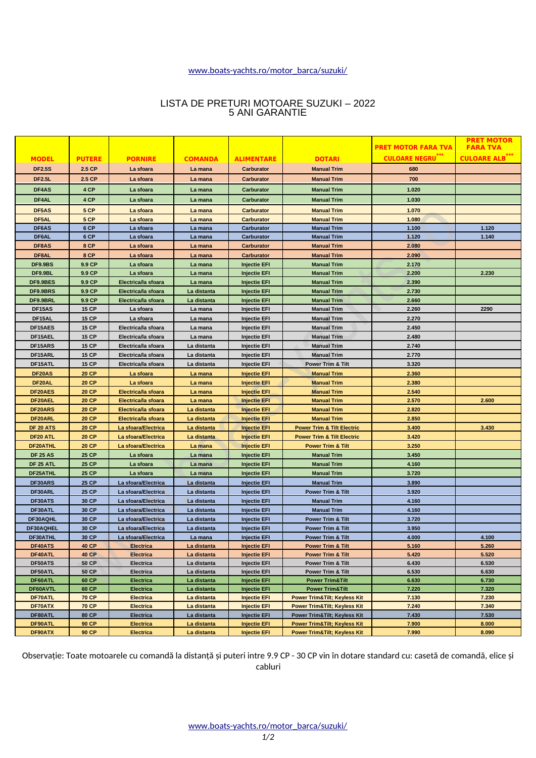## [www.boats-yachts.ro/motor\\_barca/suzuki/](http://www.boats-yachts.ro/motor_barca/suzuki/)

# LISTA DE PRETURI MOTOARE SUZUKI – 2022 5 ANI GARANTIE

|                    |                              |                               |                            |                                            |                                                              | <b>PRET MOTOR FARA TVA</b> | <b>PRET MOTOR</b><br><b>FARA TVA</b> |
|--------------------|------------------------------|-------------------------------|----------------------------|--------------------------------------------|--------------------------------------------------------------|----------------------------|--------------------------------------|
|                    |                              |                               |                            |                                            |                                                              |                            |                                      |
| <b>MODEL</b>       | <b>PUTERE</b>                | <b>PORNIRE</b>                | <b>COMANDA</b>             | <b>ALIMENTARE</b>                          | <b>DOTARI</b>                                                | <b>CULOARE NEGRU</b> ***   | <b>CULOARE ALB</b>                   |
| <b>DF2.5S</b>      | 2.5 CP                       | La sfoara                     | La mana                    | Carburator                                 | <b>Manual Trim</b>                                           | 680                        |                                      |
| <b>DF2.5L</b>      | 2.5 CP                       | La sfoara                     | La mana                    | Carburator                                 | <b>Manual Trim</b>                                           | 700                        |                                      |
| DF4AS              | 4 CP                         | La sfoara                     | La mana                    | <b>Carburator</b>                          | <b>Manual Trim</b>                                           | 1.020                      |                                      |
| DF4AL              | 4 CP                         | La sfoara                     | La mana                    | <b>Carburator</b>                          | <b>Manual Trim</b>                                           | 1.030                      |                                      |
| DF5AS              | 5 CP                         | La sfoara                     | La mana                    | <b>Carburator</b>                          | <b>Manual Trim</b>                                           | 1.070                      |                                      |
| DF5AL              | 5 CP                         | La sfoara                     | La mana                    | <b>Carburator</b>                          | <b>Manual Trim</b>                                           | 1.080                      |                                      |
| DF6AS              | 6 CP                         | La sfoara                     | La mana                    | <b>Carburator</b>                          | <b>Manual Trim</b>                                           | 1.100                      | 1.120                                |
| DF6AL              | 6 CP                         | La sfoara                     | La mana                    | Carburator                                 | <b>Manual Trim</b>                                           | 1.120                      | 1.140                                |
| DF8AS              | 8 CP                         | La sfoara                     | La mana                    | <b>Carburator</b>                          | <b>Manual Trim</b>                                           | 2.080                      |                                      |
| DF8AL              | 8 CP                         | La sfoara                     | La mana                    | <b>Carburator</b>                          | <b>Manual Trim</b>                                           | 2.090                      |                                      |
| DF9.9BS            | 9.9 CP                       | La sfoara                     | La mana                    | <b>Injectie EFI</b>                        | <b>Manual Trim</b>                                           | 2.170                      |                                      |
| DF9.9BL            | 9.9 CP                       | La sfoara                     | La mana                    | <b>Injectie EFI</b>                        | <b>Manual Trim</b>                                           | 2.200                      | 2.230                                |
| DF9.9BES           | 9.9 CP                       | Electricalla sfoara           | La mana                    | <b>Injectie EFI</b>                        | <b>Manual Trim</b>                                           | 2.390                      |                                      |
| DF9.9BRS           | 9.9 CP                       | Electricalla sfoara           | La distanta                | <b>Injectie EFI</b>                        | <b>Manual Trim</b>                                           | 2.730                      |                                      |
| DF9.9BRL           | 9.9 CP                       | Electricalla sfoara           | La distanta                | <b>Injectie EFI</b>                        | <b>Manual Trim</b>                                           | 2.660                      |                                      |
| DF15AS             | <b>15 CP</b>                 | La sfoara                     | La mana                    | <b>Injectie EFI</b>                        | <b>Manual Trim</b>                                           | 2.260                      | 2290                                 |
| DF15AL             | <b>15 CP</b>                 | La sfoara                     | La mana                    | <b>Injectie EFI</b>                        | <b>Manual Trim</b>                                           | 2.270                      |                                      |
| DF15AES            | <b>15 CP</b>                 | Electricalla sfoara           | La mana                    | <b>Injectie EFI</b>                        | <b>Manual Trim</b>                                           | 2.450                      |                                      |
| DF15AEL            | <b>15 CP</b>                 | Electricalla sfoara           | La mana                    | <b>Injectie EFI</b>                        | <b>Manual Trim</b>                                           | 2.480                      |                                      |
| DF15ARS            | <b>15 CP</b>                 | Electricalla sfoara           | La distanta                | <b>Injectie EFI</b>                        | <b>Manual Trim</b>                                           | 2.740                      |                                      |
| DF15ARL            | <b>15 CP</b>                 | Electricalla sfoara           | La distanta                | <b>Injectie EFI</b>                        | <b>Manual Trim</b>                                           | 2.770                      |                                      |
| DF15ATL            | 15 CP                        | Electricalla sfoara           | La distanta                | <b>Injectie EFI</b>                        | <b>Power Trim &amp; Tilt</b>                                 | 3.320                      |                                      |
| DF20AS             | <b>20 CP</b>                 | La sfoara                     | La mana                    | <b>Injectie EFI</b>                        | <b>Manual Trim</b>                                           | 2.360                      |                                      |
| DF <sub>20AL</sub> | <b>20 CP</b>                 | La sfoara                     | La mana                    | <b>Injectie EFI</b>                        | <b>Manual Trim</b>                                           | 2.380                      |                                      |
| DF20AES            | <b>20 CP</b>                 | Electricalla sfoara           | La mana                    | <b>Injectie EFI</b>                        | <b>Manual Trim</b>                                           | 2.540                      |                                      |
| DF20AEL            | <b>20 CP</b>                 | Electricalla sfoara           | La mana                    | <b>Injectie EFI</b>                        | <b>Manual Trim</b>                                           | 2.570                      | 2.600                                |
| DF20ARS            | <b>20 CP</b>                 | Electricalla sfoara           | La distanta                | <b>Injectie EFI</b>                        | <b>Manual Trim</b>                                           | 2.820                      |                                      |
| DF20ARL            | <b>20 CP</b>                 | Electricalla sfoara           | La distanta                | <b>Injectie EFI</b>                        | <b>Manual Trim</b>                                           | 2.850                      |                                      |
| DF 20 ATS          | <b>20 CP</b>                 | La sfoara/Electrica           | La distanta                | <b>Injectie EFI</b>                        | <b>Power Trim &amp; Tilt Electric</b>                        | 3.400                      | 3.430                                |
| DF20 ATL           | <b>20 CP</b>                 | La sfoara/Electrica           | La distanta                | <b>Injectie EFI</b>                        | <b>Power Trim &amp; Tilt Electric</b>                        | 3.420                      |                                      |
| DF20ATHL           | <b>20 CP</b>                 | La sfoara/Electrica           | La mana                    | <b>Injectie EFI</b>                        | <b>Power Trim &amp; Tilt</b>                                 | 3.250                      |                                      |
| <b>DF 25 AS</b>    | <b>25 CP</b>                 | La sfoara                     | La mana                    | <b>Injectie EFI</b>                        | <b>Manual Trim</b>                                           | 3.450                      |                                      |
| <b>DF 25 ATL</b>   | <b>25 CP</b>                 | La sfoara                     | La mana                    | <b>Injectie EFI</b>                        | <b>Manual Trim</b>                                           | 4.160                      |                                      |
| DF25ATHL           | <b>25 CP</b>                 | La sfoara                     | La mana                    | <b>Injectie EFI</b>                        | <b>Manual Trim</b>                                           | 3.720                      |                                      |
| DF30ARS            | <b>25 CP</b>                 | La sfoara/Electrica           | La distanta                | <b>Injectie EFI</b>                        | <b>Manual Trim</b>                                           | 3.890                      |                                      |
| DF30ARL            | <b>25 CP</b>                 | La sfoara/Electrica           | La distanta                | <b>Injectie EFI</b>                        | <b>Power Trim &amp; Tilt</b>                                 | 3.920                      |                                      |
| DF30ATS            | 30 CP                        | La sfoara/Electrica           | La distanta                | <b>Injectie EFI</b>                        | <b>Manual Trim</b>                                           | 4.160                      |                                      |
| DF30ATL            | 30 CP                        | La sfoara/Electrica           | La distanta                | <b>Injectie EFI</b>                        | <b>Manual Trim</b>                                           | 4.160                      |                                      |
| DF30AQHL           | 30 CP                        | La sfoara/Electrica           | La distanta                | <b>Injectie EFI</b>                        | <b>Power Trim &amp; Tilt</b>                                 | 3.720                      |                                      |
| DF30AOHEL          | 30 CP                        | La sfoara/Electrica           | La distanta                | <b>Injectie EFI</b>                        | <b>Power Trim &amp; Tilt</b>                                 | 3.950                      |                                      |
| DF30ATHL           | 30 CP                        | La sfoara/Electrica           | La mana                    | <b>Injectie EFI</b>                        | <b>Power Trim &amp; Tilt</b>                                 | 4.000                      | 4.100                                |
| DF40ATS            | <b>40 CP</b>                 | <b>Electrica</b>              | La distanta                | <b>Injectie EFI</b>                        | <b>Power Trim &amp; Tilt</b>                                 | 5.160                      | 5.260                                |
| DF40ATL<br>DF50ATS | <b>40 CP</b><br><b>50 CP</b> | <b>Electrica</b><br>Electrica | La distanta<br>La distanta | <b>Injectie EFI</b>                        | <b>Power Trim &amp; Tilt</b><br><b>Power Trim &amp; Tilt</b> | 5.420<br>6.430             | 5.520<br>6.530                       |
| DF50ATL            | <b>50 CP</b>                 | Electrica                     | La distanta                | <b>Injectie EFI</b><br><b>Injectie EFI</b> | Power Trim & Tilt                                            | 6.530                      | 6.630                                |
| DF60ATL            | 60 CP                        | Electrica                     | La distanta                | <b>Injectie EFI</b>                        | <b>Power Trim&amp;Tilt</b>                                   | 6.630                      | 6.730                                |
| DF60AVTL           | 60 CP                        | <b>Electrica</b>              | La distanta                | <b>Injectie EFI</b>                        | <b>Power Trim&amp;Tilt</b>                                   | 7.220                      | 7.320                                |
| DF70ATL            | <b>70 CP</b>                 | <b>Electrica</b>              | La distanta                | <b>Injectie EFI</b>                        | <b>Power Trim&amp;Tilt Keyless Kit</b>                       | 7.130                      | 7.230                                |
| DF70ATX            | <b>70 CP</b>                 | <b>Electrica</b>              | La distanta                | <b>Injectie EFI</b>                        | <b>Power Trim&amp;Tilt Keyless Kit</b>                       | 7.240                      | 7.340                                |
| DF80ATL            | 80 CP                        | Electrica                     | La distanta                | <b>Injectie EFI</b>                        | Power Trim&Tilt Keyless Kit                                  | 7.430                      | 7.530                                |
| DF90ATL            | <b>90 CP</b>                 | <b>Electrica</b>              | La distanta                | <b>Injectie EFI</b>                        | <b>Power Trim&amp;Tilt Keyless Kit</b>                       | 7.900                      | 8.000                                |
| DF90ATX            | <b>90 CP</b>                 | <b>Electrica</b>              | La distanta                | <b>Injectie EFI</b>                        | <b>Power Trim&amp;Tilt Keyless Kit</b>                       | 7.990                      | 8.090                                |

Observație: Toate motoarele cu comandă la distanță și puteri intre 9.9 CP - 30 CP vin în dotare standard cu: casetă de comandă, elice și cabluri